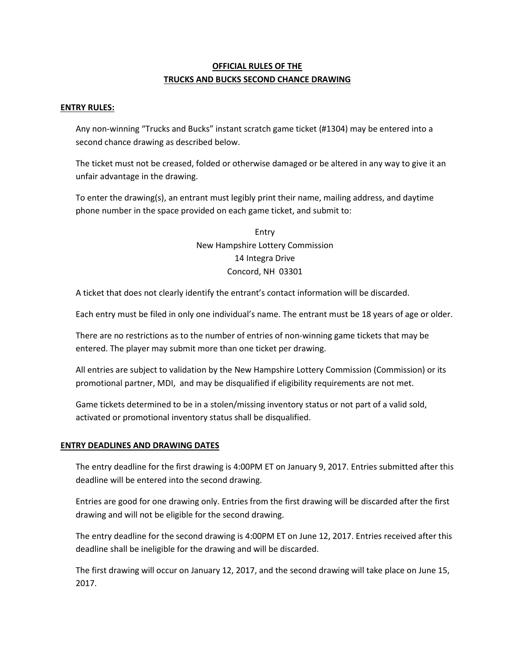# **OFFICIAL RULES OF THE TRUCKS AND BUCKS SECOND CHANCE DRAWING**

#### **ENTRY RULES:**

Any non-winning "Trucks and Bucks" instant scratch game ticket (#1304) may be entered into a second chance drawing as described below.

The ticket must not be creased, folded or otherwise damaged or be altered in any way to give it an unfair advantage in the drawing.

To enter the drawing(s), an entrant must legibly print their name, mailing address, and daytime phone number in the space provided on each game ticket, and submit to:

> Entry New Hampshire Lottery Commission 14 Integra Drive Concord, NH 03301

A ticket that does not clearly identify the entrant's contact information will be discarded.

Each entry must be filed in only one individual's name. The entrant must be 18 years of age or older.

There are no restrictions as to the number of entries of non-winning game tickets that may be entered. The player may submit more than one ticket per drawing.

All entries are subject to validation by the New Hampshire Lottery Commission (Commission) or its promotional partner, MDI, and may be disqualified if eligibility requirements are not met.

Game tickets determined to be in a stolen/missing inventory status or not part of a valid sold, activated or promotional inventory status shall be disqualified.

#### **ENTRY DEADLINES AND DRAWING DATES**

The entry deadline for the first drawing is 4:00PM ET on January 9, 2017. Entries submitted after this deadline will be entered into the second drawing.

Entries are good for one drawing only. Entries from the first drawing will be discarded after the first drawing and will not be eligible for the second drawing.

The entry deadline for the second drawing is 4:00PM ET on June 12, 2017. Entries received after this deadline shall be ineligible for the drawing and will be discarded.

The first drawing will occur on January 12, 2017, and the second drawing will take place on June 15, 2017.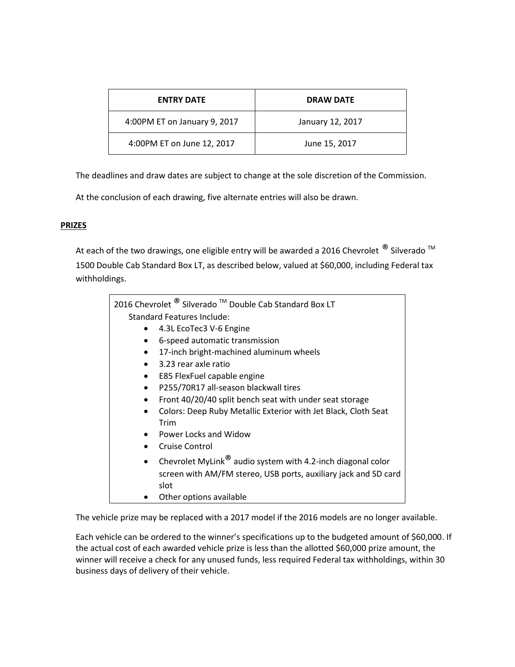| <b>ENTRY DATE</b>            | <b>DRAW DATE</b> |
|------------------------------|------------------|
| 4:00PM ET on January 9, 2017 | January 12, 2017 |
| 4:00PM ET on June 12, 2017   | June 15, 2017    |

The deadlines and draw dates are subject to change at the sole discretion of the Commission.

At the conclusion of each drawing, five alternate entries will also be drawn.

# **PRIZES**

At each of the two drawings, one eligible entry will be awarded a 2016 Chevrolet  $^{\circledR}$  Silverado  $^{\text{TM}}$ 1500 Double Cab Standard Box LT, as described below, valued at \$60,000, including Federal tax withholdings.

| 2016 Chevrolet <sup>®</sup> Silverado <sup>™</sup> Double Cab Standard Box LT |  |
|-------------------------------------------------------------------------------|--|
| Standard Features Include:                                                    |  |
| 4.3L EcoTec3 V-6 Engine                                                       |  |
| 6-speed automatic transmission                                                |  |
| 17-inch bright-machined aluminum wheels<br>$\bullet$                          |  |
| 3.23 rear axle ratio<br>$\bullet$                                             |  |
| E85 FlexFuel capable engine<br>$\bullet$                                      |  |
| P255/70R17 all-season blackwall tires                                         |  |
| Front 40/20/40 split bench seat with under seat storage                       |  |
| Colors: Deep Ruby Metallic Exterior with Jet Black, Cloth Seat<br>$\bullet$   |  |
| Trim                                                                          |  |
| Power Locks and Widow                                                         |  |
| Cruise Control                                                                |  |
| Chevrolet MyLink® audio system with 4.2-inch diagonal color<br>$\bullet$      |  |
| screen with AM/FM stereo, USB ports, auxiliary jack and SD card               |  |
| slot                                                                          |  |
| Other options available                                                       |  |

The vehicle prize may be replaced with a 2017 model if the 2016 models are no longer available.

Each vehicle can be ordered to the winner's specifications up to the budgeted amount of \$60,000. If the actual cost of each awarded vehicle prize is less than the allotted \$60,000 prize amount, the winner will receive a check for any unused funds, less required Federal tax withholdings, within 30 business days of delivery of their vehicle.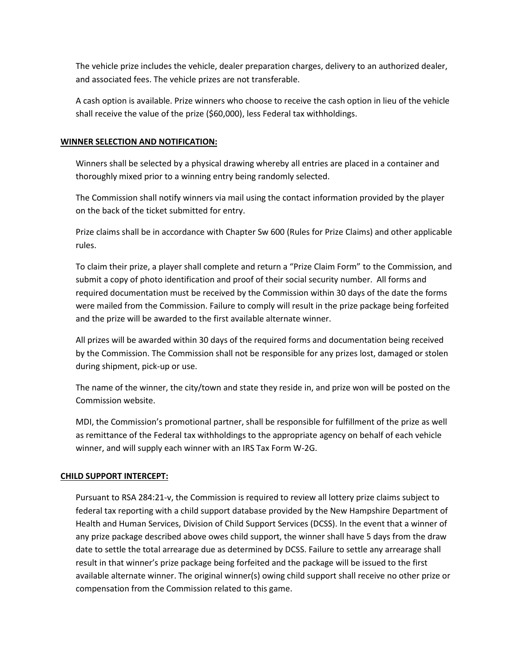The vehicle prize includes the vehicle, dealer preparation charges, delivery to an authorized dealer, and associated fees. The vehicle prizes are not transferable.

A cash option is available. Prize winners who choose to receive the cash option in lieu of the vehicle shall receive the value of the prize (\$60,000), less Federal tax withholdings.

### **WINNER SELECTION AND NOTIFICATION:**

Winners shall be selected by a physical drawing whereby all entries are placed in a container and thoroughly mixed prior to a winning entry being randomly selected.

The Commission shall notify winners via mail using the contact information provided by the player on the back of the ticket submitted for entry.

Prize claims shall be in accordance with Chapter Sw 600 (Rules for Prize Claims) and other applicable rules.

To claim their prize, a player shall complete and return a "Prize Claim Form" to the Commission, and submit a copy of photo identification and proof of their social security number. All forms and required documentation must be received by the Commission within 30 days of the date the forms were mailed from the Commission. Failure to comply will result in the prize package being forfeited and the prize will be awarded to the first available alternate winner.

All prizes will be awarded within 30 days of the required forms and documentation being received by the Commission. The Commission shall not be responsible for any prizes lost, damaged or stolen during shipment, pick-up or use.

The name of the winner, the city/town and state they reside in, and prize won will be posted on the Commission website.

MDI, the Commission's promotional partner, shall be responsible for fulfillment of the prize as well as remittance of the Federal tax withholdings to the appropriate agency on behalf of each vehicle winner, and will supply each winner with an IRS Tax Form W-2G.

# **CHILD SUPPORT INTERCEPT:**

Pursuant to RSA 284:21-v, the Commission is required to review all lottery prize claims subject to federal tax reporting with a child support database provided by the New Hampshire Department of Health and Human Services, Division of Child Support Services (DCSS). In the event that a winner of any prize package described above owes child support, the winner shall have 5 days from the draw date to settle the total arrearage due as determined by DCSS. Failure to settle any arrearage shall result in that winner's prize package being forfeited and the package will be issued to the first available alternate winner. The original winner(s) owing child support shall receive no other prize or compensation from the Commission related to this game.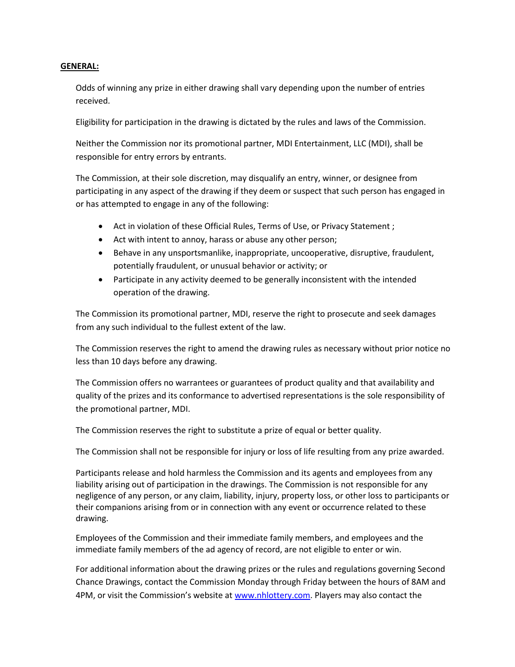#### **GENERAL:**

Odds of winning any prize in either drawing shall vary depending upon the number of entries received.

Eligibility for participation in the drawing is dictated by the rules and laws of the Commission.

Neither the Commission nor its promotional partner, MDI Entertainment, LLC (MDI), shall be responsible for entry errors by entrants.

The Commission, at their sole discretion, may disqualify an entry, winner, or designee from participating in any aspect of the drawing if they deem or suspect that such person has engaged in or has attempted to engage in any of the following:

- Act in violation of these Official Rules, Terms of Use, or Privacy Statement ;
- Act with intent to annoy, harass or abuse any other person;
- Behave in any unsportsmanlike, inappropriate, uncooperative, disruptive, fraudulent, potentially fraudulent, or unusual behavior or activity; or
- Participate in any activity deemed to be generally inconsistent with the intended operation of the drawing.

The Commission its promotional partner, MDI, reserve the right to prosecute and seek damages from any such individual to the fullest extent of the law.

The Commission reserves the right to amend the drawing rules as necessary without prior notice no less than 10 days before any drawing.

The Commission offers no warrantees or guarantees of product quality and that availability and quality of the prizes and its conformance to advertised representations is the sole responsibility of the promotional partner, MDI.

The Commission reserves the right to substitute a prize of equal or better quality.

The Commission shall not be responsible for injury or loss of life resulting from any prize awarded.

Participants release and hold harmless the Commission and its agents and employees from any liability arising out of participation in the drawings. The Commission is not responsible for any negligence of any person, or any claim, liability, injury, property loss, or other loss to participants or their companions arising from or in connection with any event or occurrence related to these drawing.

Employees of the Commission and their immediate family members, and employees and the immediate family members of the ad agency of record, are not eligible to enter or win.

For additional information about the drawing prizes or the rules and regulations governing Second Chance Drawings, contact the Commission Monday through Friday between the hours of 8AM and 4PM, or visit the Commission's website at [www.nhlottery.com.](http://www.nhlottery.com/) Players may also contact the